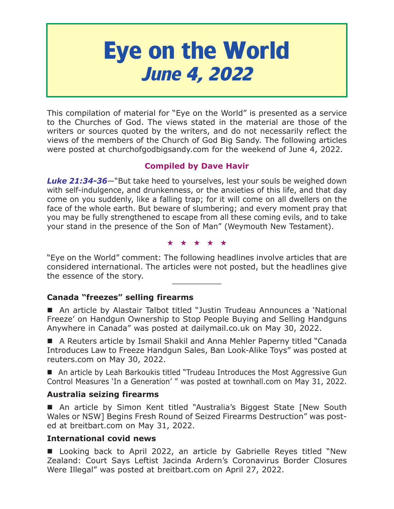# **Eye on the World June 4, 2022**

This compilation of material for "Eye on the World" is presented as a service to the Churches of God. The views stated in the material are those of the writers or sources quoted by the writers, and do not necessarily reflect the views of the members of the Church of God Big Sandy. The following articles were posted at churchofgodbigsandy.com for the weekend of June 4, 2022.

# **Compiled by Dave Havir**

*Luke 21:34-36*—"But take heed to yourselves, lest your souls be weighed down with self-indulgence, and drunkenness, or the anxieties of this life, and that day come on you suddenly, like a falling trap; for it will come on all dwellers on the face of the whole earth. But beware of slumbering; and every moment pray that you may be fully strengthened to escape from all these coming evils, and to take your stand in the presence of the Son of Man" (Weymouth New Testament).

★★★★★

"Eye on the World" comment: The following headlines involve articles that are considered international. The articles were not posted, but the headlines give the essence of the story.

# **Canada "freezes" selling firearms**

 An article by Alastair Talbot titled "Justin Trudeau Announces a 'National Freeze' on Handgun Ownership to Stop People Buying and Selling Handguns Anywhere in Canada" was posted at dailymail.co.uk on May 30, 2022.

■ A Reuters article by Ismail Shakil and Anna Mehler Paperny titled "Canada Introduces Law to Freeze Handgun Sales, Ban Look-Alike Toys" was posted at reuters.com on May 30, 2022.

■ An article by Leah Barkoukis titled "Trudeau Introduces the Most Aggressive Gun Control Measures 'In a Generation' " was posted at townhall.com on May 31, 2022.

# **Australia seizing firearms**

■ An article by Simon Kent titled "Australia's Biggest State [New South Wales or NSW] Begins Fresh Round of Seized Firearms Destruction" was posted at breitbart.com on May 31, 2022.

# **International covid news**

**Looking back to April 2022, an article by Gabrielle Reyes titled "New** Zealand: Court Says Leftist Jacinda Ardern's Coronavirus Border Closures Were Illegal" was posted at breitbart.com on April 27, 2022.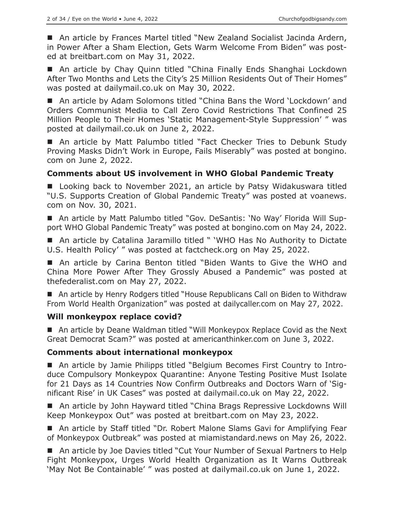■ An article by Frances Martel titled "New Zealand Socialist Jacinda Ardern, in Power After a Sham Election, Gets Warm Welcome From Biden" was posted at breitbart.com on May 31, 2022.

■ An article by Chay Quinn titled "China Finally Ends Shanghai Lockdown After Two Months and Lets the City's 25 Million Residents Out of Their Homes" was posted at dailymail.co.uk on May 30, 2022.

■ An article by Adam Solomons titled "China Bans the Word 'Lockdown' and Orders Communist Media to Call Zero Covid Restrictions That Confined 25 Million People to Their Homes 'Static Management-Style Suppression' " was posted at dailymail.co.uk on June 2, 2022.

■ An article by Matt Palumbo titled "Fact Checker Tries to Debunk Study Proving Masks Didn't Work in Europe, Fails Miserably" was posted at bongino. com on June 2, 2022.

#### **Comments about US involvement in WHO Global Pandemic Treaty**

■ Looking back to November 2021, an article by Patsy Widakuswara titled "U.S. Supports Creation of Global Pandemic Treaty" was posted at voanews. com on Nov. 30, 2021.

 An article by Matt Palumbo titled "Gov. DeSantis: 'No Way' Florida Will Support WHO Global Pandemic Treaty" was posted at bongino.com on May 24, 2022.

■ An article by Catalina Jaramillo titled " 'WHO Has No Authority to Dictate U.S. Health Policy' " was posted at factcheck.org on May 25, 2022.

■ An article by Carina Benton titled "Biden Wants to Give the WHO and China More Power After They Grossly Abused a Pandemic" was posted at thefederalist.com on May 27, 2022.

■ An article by Henry Rodgers titled "House Republicans Call on Biden to Withdraw From World Health Organization" was posted at dailycaller.com on May 27, 2022.

#### **Will monkeypox replace covid?**

 An article by Deane Waldman titled "Will Monkeypox Replace Covid as the Next Great Democrat Scam?" was posted at americanthinker.com on June 3, 2022.

#### **Comments about international monkeypox**

 An article by Jamie Philipps titled "Belgium Becomes First Country to Introduce Compulsory Monkeypox Quarantine: Anyone Testing Positive Must Isolate for 21 Days as 14 Countries Now Confirm Outbreaks and Doctors Warn of 'Significant Rise' in UK Cases" was posted at dailymail.co.uk on May 22, 2022.

■ An article by John Hayward titled "China Brags Repressive Lockdowns Will Keep Monkeypox Out" was posted at breitbart.com on May 23, 2022.

■ An article by Staff titled "Dr. Robert Malone Slams Gavi for Amplifying Fear of Monkeypox Outbreak" was posted at miamistandard.news on May 26, 2022.

■ An article by Joe Davies titled "Cut Your Number of Sexual Partners to Help Fight Monkeypox, Urges World Health Organization as It Warns Outbreak 'May Not Be Containable' " was posted at dailymail.co.uk on June 1, 2022.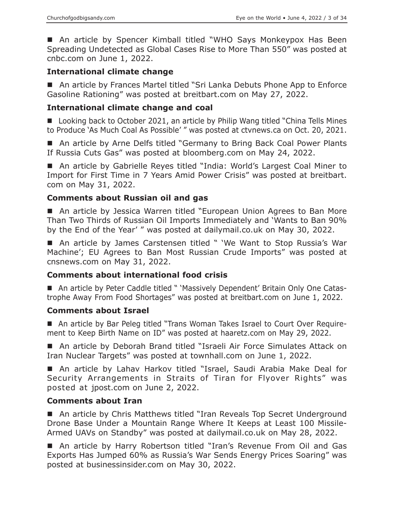An article by Spencer Kimball titled "WHO Says Monkeypox Has Been Spreading Undetected as Global Cases Rise to More Than 550" was posted at cnbc.com on June 1, 2022.

# **International climate change**

■ An article by Frances Martel titled "Sri Lanka Debuts Phone App to Enforce Gasoline Rationing" was posted at breitbart.com on May 27, 2022.

# **International climate change and coal**

■ Looking back to October 2021, an article by Philip Wang titled "China Tells Mines to Produce 'As Much Coal As Possible' " was posted at ctvnews.ca on Oct. 20, 2021.

■ An article by Arne Delfs titled "Germany to Bring Back Coal Power Plants If Russia Cuts Gas" was posted at bloomberg.com on May 24, 2022.

■ An article by Gabrielle Reyes titled "India: World's Largest Coal Miner to Import for First Time in 7 Years Amid Power Crisis" was posted at breitbart. com on May 31, 2022.

# **Comments about Russian oil and gas**

■ An article by Jessica Warren titled "European Union Agrees to Ban More Than Two Thirds of Russian Oil Imports Immediately and 'Wants to Ban 90% by the End of the Year' " was posted at dailymail.co.uk on May 30, 2022.

■ An article by James Carstensen titled " 'We Want to Stop Russia's War Machine'; EU Agrees to Ban Most Russian Crude Imports" was posted at cnsnews.com on May 31, 2022.

# **Comments about international food crisis**

 An article by Peter Caddle titled " 'Massively Dependent' Britain Only One Catastrophe Away From Food Shortages" was posted at breitbart.com on June 1, 2022.

# **Comments about Israel**

 An article by Bar Peleg titled "Trans Woman Takes Israel to Court Over Requirement to Keep Birth Name on ID" was posted at haaretz.com on May 29, 2022.

■ An article by Deborah Brand titled "Israeli Air Force Simulates Attack on Iran Nuclear Targets" was posted at townhall.com on June 1, 2022.

 An article by Lahav Harkov titled "Israel, Saudi Arabia Make Deal for Security Arrangements in Straits of Tiran for Flyover Rights" was posted at jpost.com on June 2, 2022.

#### **Comments about Iran**

■ An article by Chris Matthews titled "Iran Reveals Top Secret Underground Drone Base Under a Mountain Range Where It Keeps at Least 100 Missile-Armed UAVs on Standby" was posted at dailymail.co.uk on May 28, 2022.

■ An article by Harry Robertson titled "Iran's Revenue From Oil and Gas Exports Has Jumped 60% as Russia's War Sends Energy Prices Soaring" was posted at businessinsider.com on May 30, 2022.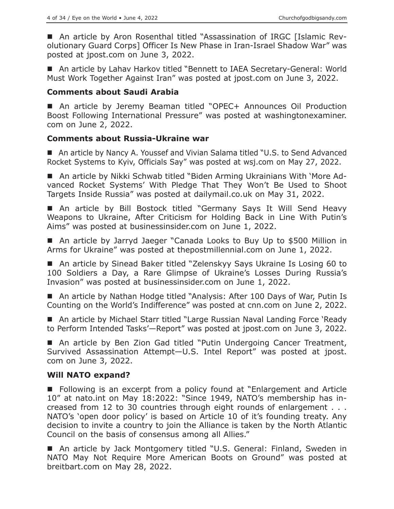■ An article by Aron Rosenthal titled "Assassination of IRGC [Islamic Revolutionary Guard Corps] Officer Is New Phase in Iran-Israel Shadow War" was posted at jpost.com on June 3, 2022.

■ An article by Lahav Harkov titled "Bennett to IAEA Secretary-General: World Must Work Together Against Iran" was posted at jpost.com on June 3, 2022.

#### **Comments about Saudi Arabia**

■ An article by Jeremy Beaman titled "OPEC+ Announces Oil Production Boost Following International Pressure" was posted at washingtonexaminer. com on June 2, 2022.

#### **Comments about Russia-Ukraine war**

■ An article by Nancy A. Youssef and Vivian Salama titled "U.S. to Send Advanced Rocket Systems to Kyiv, Officials Say" was posted at wsj.com on May 27, 2022.

 An article by Nikki Schwab titled "Biden Arming Ukrainians With 'More Advanced Rocket Systems' With Pledge That They Won't Be Used to Shoot Targets Inside Russia" was posted at dailymail.co.uk on May 31, 2022.

■ An article by Bill Bostock titled "Germany Says It Will Send Heavy Weapons to Ukraine, After Criticism for Holding Back in Line With Putin's Aims" was posted at businessinsider.com on June 1, 2022.

■ An article by Jarryd Jaeger "Canada Looks to Buy Up to \$500 Million in Arms for Ukraine" was posted at thepostmillennial.com on June 1, 2022.

■ An article by Sinead Baker titled "Zelenskyy Says Ukraine Is Losing 60 to 100 Soldiers a Day, a Rare Glimpse of Ukraine's Losses During Russia's Invasion" was posted at businessinsider.com on June 1, 2022.

■ An article by Nathan Hodge titled "Analysis: After 100 Days of War, Putin Is Counting on the World's Indifference" was posted at cnn.com on June 2, 2022.

■ An article by Michael Starr titled "Large Russian Naval Landing Force 'Ready to Perform Intended Tasks'—Report" was posted at jpost.com on June 3, 2022.

■ An article by Ben Zion Gad titled "Putin Undergoing Cancer Treatment, Survived Assassination Attempt—U.S. Intel Report" was posted at jpost. com on June 3, 2022.

#### **Will NATO expand?**

■ Following is an excerpt from a policy found at "Enlargement and Article 10" at nato.int on May 18:2022: "Since 1949, NATO's membership has increased from 12 to 30 countries through eight rounds of enlargement . . . NATO's 'open door policy' is based on Article 10 of it's founding treaty. Any decision to invite a country to join the Alliance is taken by the North Atlantic Council on the basis of consensus among all Allies."

■ An article by Jack Montgomery titled "U.S. General: Finland, Sweden in NATO May Not Require More American Boots on Ground" was posted at breitbart.com on May 28, 2022.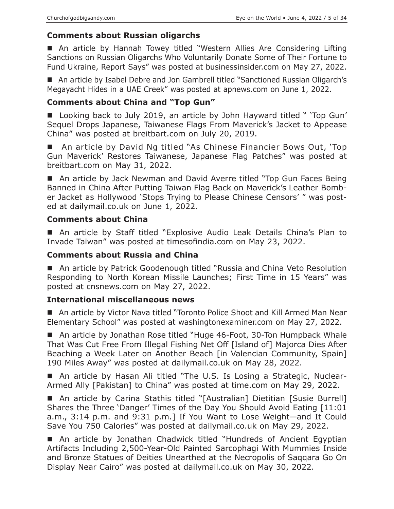# **Comments about Russian oligarchs**

 An article by Hannah Towey titled "Western Allies Are Considering Lifting Sanctions on Russian Oligarchs Who Voluntarily Donate Some of Their Fortune to Fund Ukraine, Report Says" was posted at businessinsider.com on May 27, 2022.

■ An article by Isabel Debre and Jon Gambrell titled "Sanctioned Russian Oligarch's Megayacht Hides in a UAE Creek" was posted at apnews.com on June 1, 2022.

# **Comments about China and "Top Gun"**

■ Looking back to July 2019, an article by John Hayward titled " 'Top Gun' Sequel Drops Japanese, Taiwanese Flags From Maverick's Jacket to Appease China" was posted at breitbart.com on July 20, 2019.

■ An article by David Ng titled "As Chinese Financier Bows Out, 'Top Gun Maverick' Restores Taiwanese, Japanese Flag Patches" was posted at breitbart.com on May 31, 2022.

■ An article by Jack Newman and David Averre titled "Top Gun Faces Being Banned in China After Putting Taiwan Flag Back on Maverick's Leather Bomber Jacket as Hollywood 'Stops Trying to Please Chinese Censors' " was posted at dailymail.co.uk on June 1, 2022.

# **Comments about China**

■ An article by Staff titled "Explosive Audio Leak Details China's Plan to Invade Taiwan" was posted at timesofindia.com on May 23, 2022.

#### **Comments about Russia and China**

■ An article by Patrick Goodenough titled "Russia and China Veto Resolution Responding to North Korean Missile Launches; First Time in 15 Years" was posted at cnsnews.com on May 27, 2022.

#### **International miscellaneous news**

■ An article by Victor Nava titled "Toronto Police Shoot and Kill Armed Man Near Elementary School" was posted at washingtonexaminer.com on May 27, 2022.

■ An article by Jonathan Rose titled "Huge 46-Foot, 30-Ton Humpback Whale That Was Cut Free From Illegal Fishing Net Off [Island of] Majorca Dies After Beaching a Week Later on Another Beach [in Valencian Community, Spain] 190 Miles Away" was posted at dailymail.co.uk on May 28, 2022.

■ An article by Hasan Ali titled "The U.S. Is Losing a Strategic, Nuclear-Armed Ally [Pakistan] to China" was posted at time.com on May 29, 2022.

■ An article by Carina Stathis titled "[Australian] Dietitian [Susie Burrell] Shares the Three 'Danger' Times of the Day You Should Avoid Eating [11:01 a.m., 3:14 p.m. and 9:31 p.m.] If You Want to Lose Weight—and It Could Save You 750 Calories" was posted at dailymail.co.uk on May 29, 2022.

■ An article by Jonathan Chadwick titled "Hundreds of Ancient Egyptian Artifacts Including 2,500-Year-Old Painted Sarcophagi With Mummies Inside and Bronze Statues of Deities Unearthed at the Necropolis of Saqqara Go On Display Near Cairo" was posted at dailymail.co.uk on May 30, 2022.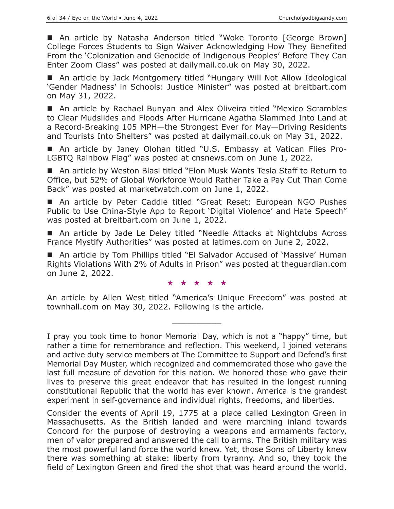■ An article by Natasha Anderson titled "Woke Toronto [George Brown] College Forces Students to Sign Waiver Acknowledging How They Benefited From the 'Colonization and Genocide of Indigenous Peoples' Before They Can Enter Zoom Class" was posted at dailymail.co.uk on May 30, 2022.

■ An article by Jack Montgomery titled "Hungary Will Not Allow Ideological 'Gender Madness' in Schools: Justice Minister" was posted at breitbart.com on May 31, 2022.

■ An article by Rachael Bunyan and Alex Oliveira titled "Mexico Scrambles to Clear Mudslides and Floods After Hurricane Agatha Slammed Into Land at a Record-Breaking 105 MPH—the Strongest Ever for May—Driving Residents and Tourists Into Shelters" was posted at dailymail.co.uk on May 31, 2022.

 An article by Janey Olohan titled "U.S. Embassy at Vatican Flies Pro-LGBTQ Rainbow Flag" was posted at cnsnews.com on June 1, 2022.

■ An article by Weston Blasi titled "Elon Musk Wants Tesla Staff to Return to Office, but 52% of Global Workforce Would Rather Take a Pay Cut Than Come Back" was posted at marketwatch.com on June 1, 2022.

■ An article by Peter Caddle titled "Great Reset: European NGO Pushes Public to Use China-Style App to Report 'Digital Violence' and Hate Speech" was posted at breitbart.com on June 1, 2022.

■ An article by Jade Le Deley titled "Needle Attacks at Nightclubs Across France Mystify Authorities" was posted at latimes.com on June 2, 2022.

■ An article by Tom Phillips titled "El Salvador Accused of 'Massive' Human Rights Violations With 2% of Adults in Prison" was posted at theguardian.com on June 2, 2022.

★★★★★

An article by Allen West titled "America's Unique Freedom" was posted at townhall.com on May 30, 2022. Following is the article.

 $\overline{\phantom{a}}$  , where  $\overline{\phantom{a}}$ 

I pray you took time to honor Memorial Day, which is not a "happy" time, but rather a time for remembrance and reflection. This weekend, I joined veterans and active duty service members at The Committee to Support and Defend's first Memorial Day Muster, which recognized and commemorated those who gave the last full measure of devotion for this nation. We honored those who gave their lives to preserve this great endeavor that has resulted in the longest running constitutional Republic that the world has ever known. America is the grandest experiment in self-governance and individual rights, freedoms, and liberties.

Consider the events of April 19, 1775 at a place called Lexington Green in Massachusetts. As the British landed and were marching inland towards Concord for the purpose of destroying a weapons and armaments factory, men of valor prepared and answered the call to arms. The British military was the most powerful land force the world knew. Yet, those Sons of Liberty knew there was something at stake: liberty from tyranny. And so, they took the field of Lexington Green and fired the shot that was heard around the world.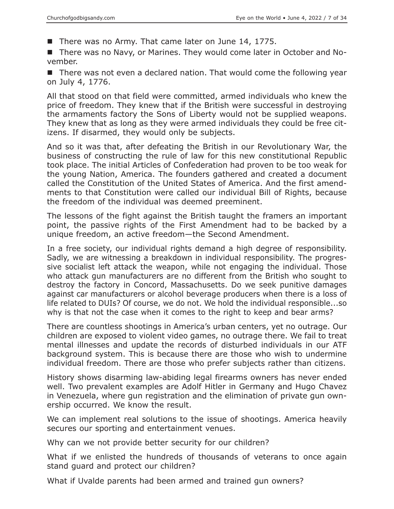There was no Army. That came later on June 14, 1775.

■ There was no Navy, or Marines. They would come later in October and November.

■ There was not even a declared nation. That would come the following year on July 4, 1776.

All that stood on that field were committed, armed individuals who knew the price of freedom. They knew that if the British were successful in destroying the armaments factory the Sons of Liberty would not be supplied weapons. They knew that as long as they were armed individuals they could be free citizens. If disarmed, they would only be subjects.

And so it was that, after defeating the British in our Revolutionary War, the business of constructing the rule of law for this new constitutional Republic took place. The initial Articles of Confederation had proven to be too weak for the young Nation, America. The founders gathered and created a document called the Constitution of the United States of America. And the first amendments to that Constitution were called our individual Bill of Rights, because the freedom of the individual was deemed preeminent.

The lessons of the fight against the British taught the framers an important point, the passive rights of the First Amendment had to be backed by a unique freedom, an active freedom—the Second Amendment.

In a free society, our individual rights demand a high degree of responsibility. Sadly, we are witnessing a breakdown in individual responsibility. The progressive socialist left attack the weapon, while not engaging the individual. Those who attack gun manufacturers are no different from the British who sought to destroy the factory in Concord, Massachusetts. Do we seek punitive damages against car manufacturers or alcohol beverage producers when there is a loss of life related to DUIs? Of course, we do not. We hold the individual responsible...so why is that not the case when it comes to the right to keep and bear arms?

There are countless shootings in America's urban centers, yet no outrage. Our children are exposed to violent video games, no outrage there. We fail to treat mental illnesses and update the records of disturbed individuals in our ATF background system. This is because there are those who wish to undermine individual freedom. There are those who prefer subjects rather than citizens.

History shows disarming law-abiding legal firearms owners has never ended well. Two prevalent examples are Adolf Hitler in Germany and Hugo Chavez in Venezuela, where gun registration and the elimination of private gun ownership occurred. We know the result.

We can implement real solutions to the issue of shootings. America heavily secures our sporting and entertainment venues.

Why can we not provide better security for our children?

What if we enlisted the hundreds of thousands of veterans to once again stand guard and protect our children?

What if Uvalde parents had been armed and trained gun owners?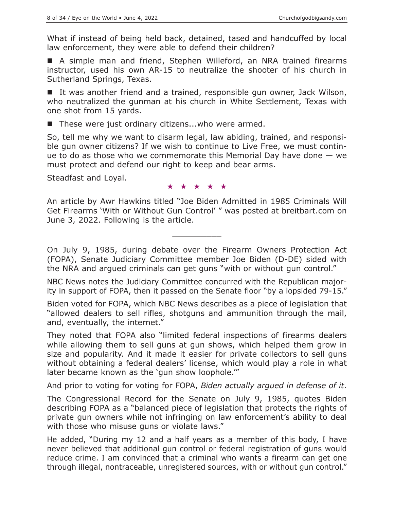What if instead of being held back, detained, tased and handcuffed by local law enforcement, they were able to defend their children?

■ A simple man and friend, Stephen Willeford, an NRA trained firearms instructor, used his own AR-15 to neutralize the shooter of his church in Sutherland Springs, Texas.

■ It was another friend and a trained, responsible gun owner, Jack Wilson, who neutralized the gunman at his church in White Settlement, Texas with one shot from 15 yards.

■ These were just ordinary citizens...who were armed.

So, tell me why we want to disarm legal, law abiding, trained, and responsible gun owner citizens? If we wish to continue to Live Free, we must continue to do as those who we commemorate this Memorial Day have done  $-$  we must protect and defend our right to keep and bear arms.

Steadfast and Loyal.

#### ★★★★★

An article by Awr Hawkins titled "Joe Biden Admitted in 1985 Criminals Will Get Firearms 'With or Without Gun Control' " was posted at breitbart.com on June 3, 2022. Following is the article.

 $\overline{\phantom{a}}$  , where  $\overline{\phantom{a}}$ 

On July 9, 1985, during debate over the Firearm Owners Protection Act (FOPA), Senate Judiciary Committee member Joe Biden (D-DE) sided with the NRA and argued criminals can get guns "with or without gun control."

NBC News notes the Judiciary Committee concurred with the Republican majority in support of FOPA, then it passed on the Senate floor "by a lopsided 79-15."

Biden voted for FOPA, which NBC News describes as a piece of legislation that "allowed dealers to sell rifles, shotguns and ammunition through the mail, and, eventually, the internet."

They noted that FOPA also "limited federal inspections of firearms dealers while allowing them to sell guns at gun shows, which helped them grow in size and popularity. And it made it easier for private collectors to sell guns without obtaining a federal dealers' license, which would play a role in what later became known as the 'gun show loophole.'"

And prior to voting for voting for FOPA, *Biden actually argued in defense of it*.

The Congressional Record for the Senate on July 9, 1985, quotes Biden describing FOPA as a "balanced piece of legislation that protects the rights of private gun owners while not infringing on law enforcement's ability to deal with those who misuse guns or violate laws."

He added, "During my 12 and a half years as a member of this body, I have never believed that additional gun control or federal registration of guns would reduce crime. I am convinced that a criminal who wants a firearm can get one through illegal, nontraceable, unregistered sources, with or without gun control."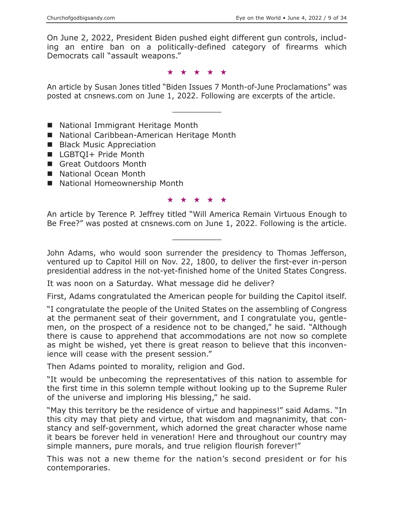On June 2, 2022, President Biden pushed eight different gun controls, including an entire ban on a politically-defined category of firearms which Democrats call "assault weapons."

#### ★★★★★

An article by Susan Jones titled "Biden Issues 7 Month-of-June Proclamations" was posted at cnsnews.com on June 1, 2022. Following are excerpts of the article.

 $\overline{\phantom{a}}$  , where  $\overline{\phantom{a}}$ 

- National Immigrant Heritage Month
- National Caribbean-American Heritage Month
- **Black Music Appreciation**
- LGBTQI+ Pride Month
- Great Outdoors Month
- National Ocean Month
- National Homeownership Month

#### ★★★★★

An article by Terence P. Jeffrey titled "Will America Remain Virtuous Enough to Be Free?" was posted at cnsnews.com on June 1, 2022. Following is the article.

 $\overline{\phantom{a}}$  , where  $\overline{\phantom{a}}$ 

John Adams, who would soon surrender the presidency to Thomas Jefferson, ventured up to Capitol Hill on Nov. 22, 1800, to deliver the first-ever in-person presidential address in the not-yet-finished home of the United States Congress.

It was noon on a Saturday. What message did he deliver?

First, Adams congratulated the American people for building the Capitol itself.

"I congratulate the people of the United States on the assembling of Congress at the permanent seat of their government, and I congratulate you, gentlemen, on the prospect of a residence not to be changed," he said. "Although there is cause to apprehend that accommodations are not now so complete as might be wished, yet there is great reason to believe that this inconvenience will cease with the present session."

Then Adams pointed to morality, religion and God.

"It would be unbecoming the representatives of this nation to assemble for the first time in this solemn temple without looking up to the Supreme Ruler of the universe and imploring His blessing," he said.

"May this territory be the residence of virtue and happiness!" said Adams. "In this city may that piety and virtue, that wisdom and magnanimity, that constancy and self-government, which adorned the great character whose name it bears be forever held in veneration! Here and throughout our country may simple manners, pure morals, and true religion flourish forever!"

This was not a new theme for the nation's second president or for his contemporaries.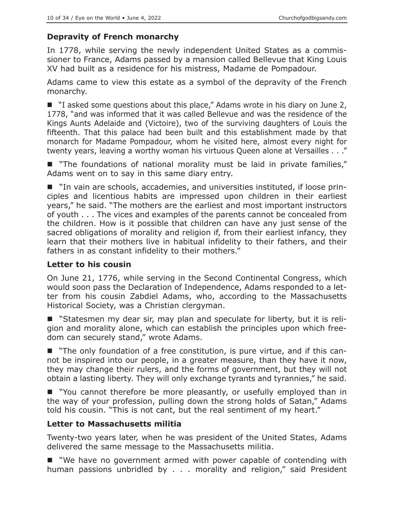# **Depravity of French monarchy**

In 1778, while serving the newly independent United States as a commissioner to France, Adams passed by a mansion called Bellevue that King Louis XV had built as a residence for his mistress, Madame de Pompadour.

Adams came to view this estate as a symbol of the depravity of the French monarchy.

■ "I asked some questions about this place," Adams wrote in his diary on June 2, 1778, "and was informed that it was called Bellevue and was the residence of the Kings Aunts Adelaide and (Victoire), two of the surviving daughters of Louis the fifteenth. That this palace had been built and this establishment made by that monarch for Madame Pompadour, whom he visited here, almost every night for twenty years, leaving a worthy woman his virtuous Queen alone at Versailles . . ."

 "The foundations of national morality must be laid in private families," Adams went on to say in this same diary entry.

■ "In vain are schools, accademies, and universities instituted, if loose principles and licentious habits are impressed upon children in their earliest years," he said. "The mothers are the earliest and most important instructors of youth . . . The vices and examples of the parents cannot be concealed from the children. How is it possible that children can have any just sense of the sacred obligations of morality and religion if, from their earliest infancy, they learn that their mothers live in habitual infidelity to their fathers, and their fathers in as constant infidelity to their mothers."

#### **Letter to his cousin**

On June 21, 1776, while serving in the Second Continental Congress, which would soon pass the Declaration of Independence, Adams responded to a letter from his cousin Zabdiel Adams, who, according to the Massachusetts Historical Society, was a Christian clergyman.

■ "Statesmen my dear sir, may plan and speculate for liberty, but it is religion and morality alone, which can establish the principles upon which freedom can securely stand," wrote Adams.

 "The only foundation of a free constitution, is pure virtue, and if this cannot be inspired into our people, in a greater measure, than they have it now, they may change their rulers, and the forms of government, but they will not obtain a lasting liberty. They will only exchange tyrants and tyrannies," he said.

■ "You cannot therefore be more pleasantly, or usefully employed than in the way of your profession, pulling down the strong holds of Satan," Adams told his cousin. "This is not cant, but the real sentiment of my heart."

# **Letter to Massachusetts militia**

Twenty-two years later, when he was president of the United States, Adams delivered the same message to the Massachusetts militia.

■ "We have no government armed with power capable of contending with human passions unbridled by . . . morality and religion," said President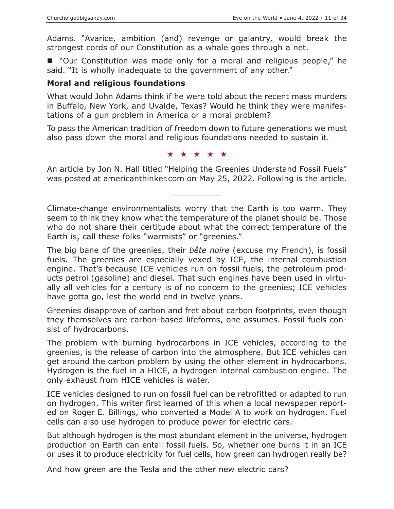Adams. "Avarice, ambition (and) revenge or galantry, would break the strongest cords of our Constitution as a whale goes through a net.

■ "Our Constitution was made only for a moral and religious people," he said. "It is wholly inadequate to the government of any other."

#### **Moral and religious foundations**

What would John Adams think if he were told about the recent mass murders in Buffalo, New York, and Uvalde, Texas? Would he think they were manifestations of a gun problem in America or a moral problem?

To pass the American tradition of freedom down to future generations we must also pass down the moral and religious foundations needed to sustain it.

★★★★★

An article by Jon N. Hall titled "Helping the Greenies Understand Fossil Fuels" was posted at americanthinker.com on May 25, 2022. Following is the article.

 $\overline{\phantom{a}}$  , where  $\overline{\phantom{a}}$ 

Climate-change environmentalists worry that the Earth is too warm. They seem to think they know what the temperature of the planet should be. Those who do not share their certitude about what the correct temperature of the Earth is, call these folks "warmists" or "greenies."

The big bane of the greenies, their *bête noire* (excuse my French), is fossil fuels. The greenies are especially vexed by ICE, the internal combustion engine. That's because ICE vehicles run on fossil fuels, the petroleum products petrol (gasoline) and diesel. That such engines have been used in virtually all vehicles for a century is of no concern to the greenies; ICE vehicles have gotta go, lest the world end in twelve years.

Greenies disapprove of carbon and fret about carbon footprints, even though they themselves are carbon-based lifeforms, one assumes. Fossil fuels consist of hydrocarbons.

The problem with burning hydrocarbons in ICE vehicles, according to the greenies, is the release of carbon into the atmosphere. But ICE vehicles can get around the carbon problem by using the other element in hydrocarbons. Hydrogen is the fuel in a HICE, a hydrogen internal combustion engine. The only exhaust from HICE vehicles is water.

ICE vehicles designed to run on fossil fuel can be retrofitted or adapted to run on hydrogen. This writer first learned of this when a local newspaper reported on Roger E. Billings, who converted a Model A to work on hydrogen. Fuel cells can also use hydrogen to produce power for electric cars.

But although hydrogen is the most abundant element in the universe, hydrogen production on Earth can entail fossil fuels. So, whether one burns it in an ICE or uses it to produce electricity for fuel cells, how green can hydrogen really be?

And how green are the Tesla and the other new electric cars?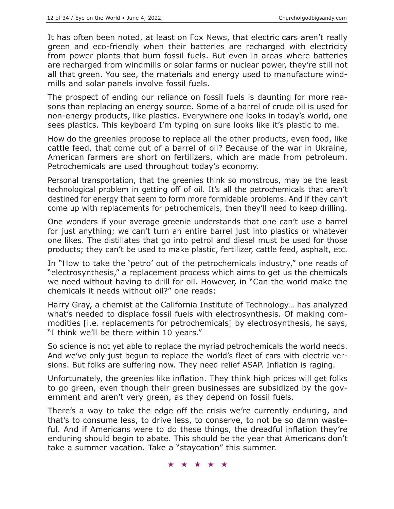It has often been noted, at least on Fox News, that electric cars aren't really green and eco-friendly when their batteries are recharged with electricity from power plants that burn fossil fuels. But even in areas where batteries are recharged from windmills or solar farms or nuclear power, they're still not all that green. You see, the materials and energy used to manufacture windmills and solar panels involve fossil fuels.

The prospect of ending our reliance on fossil fuels is daunting for more reasons than replacing an energy source. Some of a barrel of crude oil is used for non-energy products, like plastics. Everywhere one looks in today's world, one sees plastics. This keyboard I'm typing on sure looks like it's plastic to me.

How do the greenies propose to replace all the other products, even food, like cattle feed, that come out of a barrel of oil? Because of the war in Ukraine, American farmers are short on fertilizers, which are made from petroleum. Petrochemicals are used throughout today's economy.

Personal transportation, that the greenies think so monstrous, may be the least technological problem in getting off of oil. It's all the petrochemicals that aren't destined for energy that seem to form more formidable problems. And if they can't come up with replacements for petrochemicals, then they'll need to keep drilling.

One wonders if your average greenie understands that one can't use a barrel for just anything; we can't turn an entire barrel just into plastics or whatever one likes. The distillates that go into petrol and diesel must be used for those products; they can't be used to make plastic, fertilizer, cattle feed, asphalt, etc.

In "How to take the 'petro' out of the petrochemicals industry," one reads of "electrosynthesis," a replacement process which aims to get us the chemicals we need without having to drill for oil. However, in "Can the world make the chemicals it needs without oil?" one reads:

Harry Gray, a chemist at the California Institute of Technology… has analyzed what's needed to displace fossil fuels with electrosynthesis. Of making commodities [i.e. replacements for petrochemicals] by electrosynthesis, he says, "I think we'll be there within 10 years."

So science is not yet able to replace the myriad petrochemicals the world needs. And we've only just begun to replace the world's fleet of cars with electric versions. But folks are suffering now. They need relief ASAP. Inflation is raging.

Unfortunately, the greenies like inflation. They think high prices will get folks to go green, even though their green businesses are subsidized by the government and aren't very green, as they depend on fossil fuels.

There's a way to take the edge off the crisis we're currently enduring, and that's to consume less, to drive less, to conserve, to not be so damn wasteful. And if Americans were to do these things, the dreadful inflation they're enduring should begin to abate. This should be the year that Americans don't take a summer vacation. Take a "staycation" this summer.

★★★★★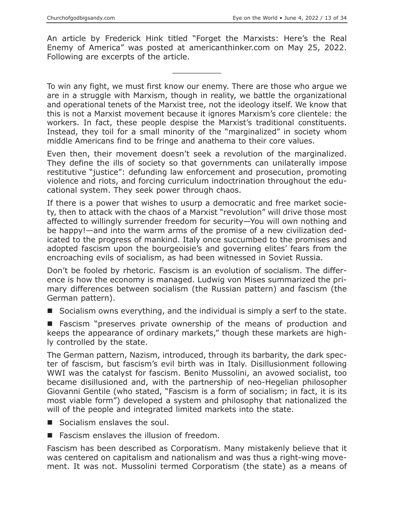An article by Frederick Hink titled "Forget the Marxists: Here's the Real Enemy of America" was posted at americanthinker.com on May 25, 2022. Following are excerpts of the article.

 $\overline{\phantom{a}}$  , where  $\overline{\phantom{a}}$ 

To win any fight, we must first know our enemy. There are those who argue we are in a struggle with Marxism, though in reality, we battle the organizational and operational tenets of the Marxist tree, not the ideology itself. We know that this is not a Marxist movement because it ignores Marxism's core clientele: the workers. In fact, these people despise the Marxist's traditional constituents. Instead, they toil for a small minority of the "marginalized" in society whom middle Americans find to be fringe and anathema to their core values.

Even then, their movement doesn't seek a revolution of the marginalized. They define the ills of society so that governments can unilaterally impose restitutive "justice": defunding law enforcement and prosecution, promoting violence and riots, and forcing curriculum indoctrination throughout the educational system. They seek power through chaos.

If there is a power that wishes to usurp a democratic and free market society, then to attack with the chaos of a Marxist "revolution" will drive those most affected to willingly surrender freedom for security—You will own nothing and be happy!—and into the warm arms of the promise of a new civilization dedicated to the progress of mankind. Italy once succumbed to the promises and adopted fascism upon the bourgeoisie's and governing elites' fears from the encroaching evils of socialism, as had been witnessed in Soviet Russia.

Don't be fooled by rhetoric. Fascism is an evolution of socialism. The difference is how the economy is managed. Ludwig von Mises summarized the primary differences between socialism (the Russian pattern) and fascism (the German pattern).

■ Socialism owns everything, and the individual is simply a serf to the state.

 Fascism "preserves private ownership of the means of production and keeps the appearance of ordinary markets," though these markets are highly controlled by the state.

The German pattern, Nazism, introduced, through its barbarity, the dark specter of fascism, but fascism's evil birth was in Italy. Disillusionment following WWI was the catalyst for fascism. Benito Mussolini, an avowed socialist, too became disillusioned and, with the partnership of neo-Hegelian philosopher Giovanni Gentile (who stated, "Fascism is a form of socialism; in fact, it is its most viable form") developed a system and philosophy that nationalized the will of the people and integrated limited markets into the state.

- Socialism enslaves the soul.
- **Fascism enslaves the illusion of freedom.**

Fascism has been described as Corporatism. Many mistakenly believe that it was centered on capitalism and nationalism and was thus a right-wing movement. It was not. Mussolini termed Corporatism (the state) as a means of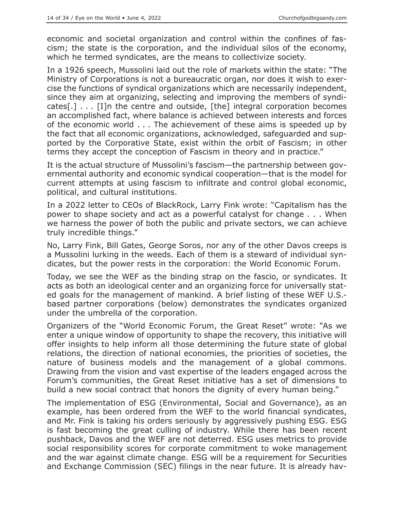economic and societal organization and control within the confines of fascism; the state is the corporation, and the individual silos of the economy, which he termed syndicates, are the means to collectivize society.

In a 1926 speech, Mussolini laid out the role of markets within the state: "The Ministry of Corporations is not a bureaucratic organ, nor does it wish to exercise the functions of syndical organizations which are necessarily independent, since they aim at organizing, selecting and improving the members of syndicates[.] . . . [I]n the centre and outside, [the] integral corporation becomes an accomplished fact, where balance is achieved between interests and forces of the economic world . . . The achievement of these aims is speeded up by the fact that all economic organizations, acknowledged, safeguarded and supported by the Corporative State, exist within the orbit of Fascism; in other terms they accept the conception of Fascism in theory and in practice."

It is the actual structure of Mussolini's fascism—the partnership between governmental authority and economic syndical cooperation—that is the model for current attempts at using fascism to infiltrate and control global economic, political, and cultural institutions.

In a 2022 letter to CEOs of BlackRock, Larry Fink wrote: "Capitalism has the power to shape society and act as a powerful catalyst for change . . . When we harness the power of both the public and private sectors, we can achieve truly incredible things."

No, Larry Fink, Bill Gates, George Soros, nor any of the other Davos creeps is a Mussolini lurking in the weeds. Each of them is a steward of individual syndicates, but the power rests in the corporation: the World Economic Forum.

Today, we see the WEF as the binding strap on the fascio, or syndicates. It acts as both an ideological center and an organizing force for universally stated goals for the management of mankind. A brief listing of these WEF U.S. based partner corporations (below) demonstrates the syndicates organized under the umbrella of the corporation.

Organizers of the "World Economic Forum, the Great Reset" wrote: "As we enter a unique window of opportunity to shape the recovery, this initiative will offer insights to help inform all those determining the future state of global relations, the direction of national economies, the priorities of societies, the nature of business models and the management of a global commons. Drawing from the vision and vast expertise of the leaders engaged across the Forum's communities, the Great Reset initiative has a set of dimensions to build a new social contract that honors the dignity of every human being."

The implementation of ESG (Environmental, Social and Governance), as an example, has been ordered from the WEF to the world financial syndicates, and Mr. Fink is taking his orders seriously by aggressively pushing ESG. ESG is fast becoming the great culling of industry. While there has been recent pushback, Davos and the WEF are not deterred. ESG uses metrics to provide social responsibility scores for corporate commitment to woke management and the war against climate change. ESG will be a requirement for Securities and Exchange Commission (SEC) filings in the near future. It is already hav-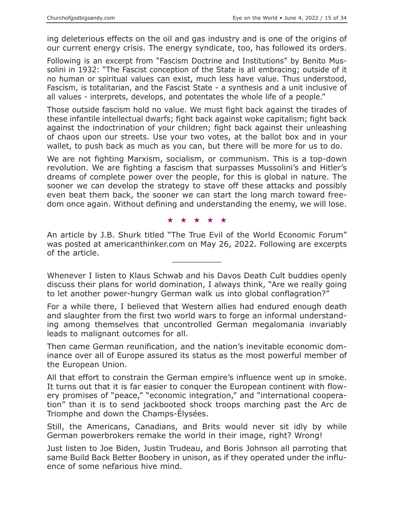ing deleterious effects on the oil and gas industry and is one of the origins of our current energy crisis. The energy syndicate, too, has followed its orders.

Following is an excerpt from "Fascism Doctrine and Institutions" by Benito Mussolini in 1932: "The Fascist conception of the State is all embracing; outside of it no human or spiritual values can exist, much less have value. Thus understood, Fascism, is totalitarian, and the Fascist State - a synthesis and a unit inclusive of all values - interprets, develops, and potentates the whole life of a people."

Those outside fascism hold no value. We must fight back against the tirades of these infantile intellectual dwarfs; fight back against woke capitalism; fight back against the indoctrination of your children; fight back against their unleashing of chaos upon our streets. Use your two votes, at the ballot box and in your wallet, to push back as much as you can, but there will be more for us to do.

We are not fighting Marxism, socialism, or communism. This is a top-down revolution. We are fighting a fascism that surpasses Mussolini's and Hitler's dreams of complete power over the people, for this is global in nature. The sooner we can develop the strategy to stave off these attacks and possibly even beat them back, the sooner we can start the long march toward freedom once again. Without defining and understanding the enemy, we will lose.

#### ★★★★★

An article by J.B. Shurk titled "The True Evil of the World Economic Forum" was posted at americanthinker.com on May 26, 2022. Following are excerpts of the article.

Whenever I listen to Klaus Schwab and his Davos Death Cult buddies openly discuss their plans for world domination, I always think, "Are we really going to let another power-hungry German walk us into global conflagration?"

For a while there, I believed that Western allies had endured enough death and slaughter from the first two world wars to forge an informal understanding among themselves that uncontrolled German megalomania invariably leads to malignant outcomes for all.

Then came German reunification, and the nation's inevitable economic dominance over all of Europe assured its status as the most powerful member of the European Union.

All that effort to constrain the German empire's influence went up in smoke. It turns out that it is far easier to conquer the European continent with flowery promises of "peace," "economic integration," and "international cooperation" than it is to send jackbooted shock troops marching past the Arc de Triomphe and down the Champs-Élysées.

Still, the Americans, Canadians, and Brits would never sit idly by while German powerbrokers remake the world in their image, right? Wrong!

Just listen to Joe Biden, Justin Trudeau, and Boris Johnson all parroting that same Build Back Better Boobery in unison, as if they operated under the influence of some nefarious hive mind.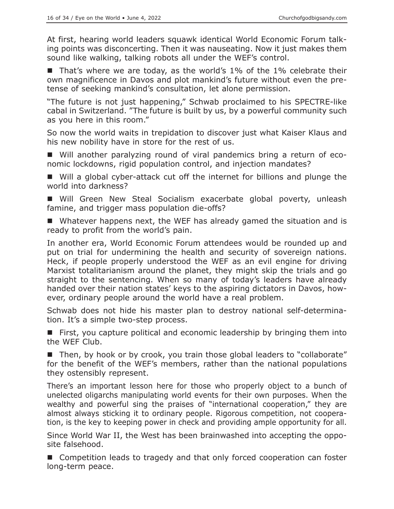At first, hearing world leaders squawk identical World Economic Forum talking points was disconcerting. Then it was nauseating. Now it just makes them sound like walking, talking robots all under the WEF's control.

■ That's where we are today, as the world's 1% of the 1% celebrate their own magnificence in Davos and plot mankind's future without even the pretense of seeking mankind's consultation, let alone permission.

"The future is not just happening," Schwab proclaimed to his SPECTRE-like cabal in Switzerland. "The future is built by us, by a powerful community such as you here in this room."

So now the world waits in trepidation to discover just what Kaiser Klaus and his new nobility have in store for the rest of us.

 Will another paralyzing round of viral pandemics bring a return of economic lockdowns, rigid population control, and injection mandates?

 Will a global cyber-attack cut off the internet for billions and plunge the world into darkness?

 Will Green New Steal Socialism exacerbate global poverty, unleash famine, and trigger mass population die-offs?

■ Whatever happens next, the WEF has already gamed the situation and is ready to profit from the world's pain.

In another era, World Economic Forum attendees would be rounded up and put on trial for undermining the health and security of sovereign nations. Heck, if people properly understood the WEF as an evil engine for driving Marxist totalitarianism around the planet, they might skip the trials and go straight to the sentencing. When so many of today's leaders have already handed over their nation states' keys to the aspiring dictators in Davos, however, ordinary people around the world have a real problem.

Schwab does not hide his master plan to destroy national self-determination. It's a simple two-step process.

 First, you capture political and economic leadership by bringing them into the WEF Club.

■ Then, by hook or by crook, you train those global leaders to "collaborate" for the benefit of the WEF's members, rather than the national populations they ostensibly represent.

There's an important lesson here for those who properly object to a bunch of unelected oligarchs manipulating world events for their own purposes. When the wealthy and powerful sing the praises of "international cooperation," they are almost always sticking it to ordinary people. Rigorous competition, not cooperation, is the key to keeping power in check and providing ample opportunity for all.

Since World War II, the West has been brainwashed into accepting the opposite falsehood.

■ Competition leads to tragedy and that only forced cooperation can foster long-term peace.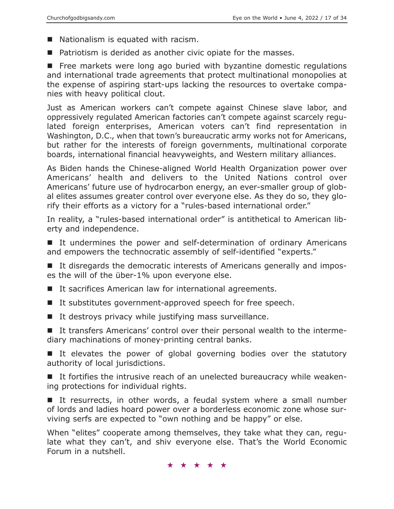- Nationalism is equated with racism.
- Patriotism is derided as another civic opiate for the masses.

**Free markets were long ago buried with byzantine domestic regulations** and international trade agreements that protect multinational monopolies at the expense of aspiring start-ups lacking the resources to overtake companies with heavy political clout.

Just as American workers can't compete against Chinese slave labor, and oppressively regulated American factories can't compete against scarcely regulated foreign enterprises, American voters can't find representation in Washington, D.C., when that town's bureaucratic army works not for Americans, but rather for the interests of foreign governments, multinational corporate boards, international financial heavyweights, and Western military alliances.

As Biden hands the Chinese-aligned World Health Organization power over Americans' health and delivers to the United Nations control over Americans' future use of hydrocarbon energy, an ever-smaller group of global elites assumes greater control over everyone else. As they do so, they glorify their efforts as a victory for a "rules-based international order."

In reality, a "rules-based international order" is antithetical to American liberty and independence.

■ It undermines the power and self-determination of ordinary Americans and empowers the technocratic assembly of self-identified "experts."

■ It disregards the democratic interests of Americans generally and imposes the will of the über-1% upon everyone else.

- It sacrifices American law for international agreements.
- It substitutes government-approved speech for free speech.
- $\blacksquare$  It destroys privacy while justifying mass surveillance.

 It transfers Americans' control over their personal wealth to the intermediary machinations of money-printing central banks.

If elevates the power of global governing bodies over the statutory authority of local jurisdictions.

 It fortifies the intrusive reach of an unelected bureaucracy while weakening protections for individual rights.

If resurrects, in other words, a feudal system where a small number of lords and ladies hoard power over a borderless economic zone whose surviving serfs are expected to "own nothing and be happy" or else.

When "elites" cooperate among themselves, they take what they can, regulate what they can't, and shiv everyone else. That's the World Economic Forum in a nutshell.

★★★★★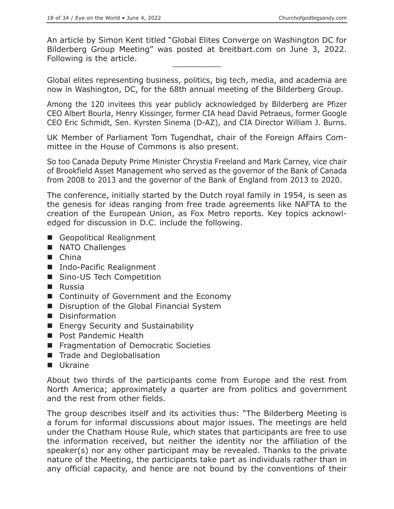An article by Simon Kent titled "Global Elites Converge on Washington DC for Bilderberg Group Meeting" was posted at breitbart.com on June 3, 2022. Following is the article.

Global elites representing business, politics, big tech, media, and academia are now in Washington, DC, for the 68th annual meeting of the Bilderberg Group.

Among the 120 invitees this year publicly acknowledged by Bilderberg are Pfizer CEO Albert Bourla, Henry Kissinger, former CIA head David Petraeus, former Google CEO Eric Schmidt, Sen. Kyrsten Sinema (D-AZ), and CIA Director William J. Burns.

UK Member of Parliament Tom Tugendhat, chair of the Foreign Affairs Committee in the House of Commons is also present.

So too Canada Deputy Prime Minister Chrystia Freeland and Mark Carney, vice chair of Brookfield Asset Management who served as the governor of the Bank of Canada from 2008 to 2013 and the governor of the Bank of England from 2013 to 2020.

The conference, initially started by the Dutch royal family in 1954, is seen as the genesis for ideas ranging from free trade agreements like NAFTA to the creation of the European Union, as Fox Metro reports. Key topics acknowledged for discussion in D.C. include the following.

- Geopolitical Realignment
- NATO Challenges
- China
- Indo-Pacific Realignment
- Sino-US Tech Competition
- Russia
- Continuity of Government and the Economy
- Disruption of the Global Financial System
- **Disinformation**
- **Energy Security and Sustainability**
- **Post Pandemic Health**
- **Figure 1** Fragmentation of Democratic Societies
- Trade and Deglobalisation
- **Ukraine**

About two thirds of the participants come from Europe and the rest from North America; approximately a quarter are from politics and government and the rest from other fields.

The group describes itself and its activities thus: "The Bilderberg Meeting is a forum for informal discussions about major issues. The meetings are held under the Chatham House Rule, which states that participants are free to use the information received, but neither the identity nor the affiliation of the speaker(s) nor any other participant may be revealed. Thanks to the private nature of the Meeting, the participants take part as individuals rather than in any official capacity, and hence are not bound by the conventions of their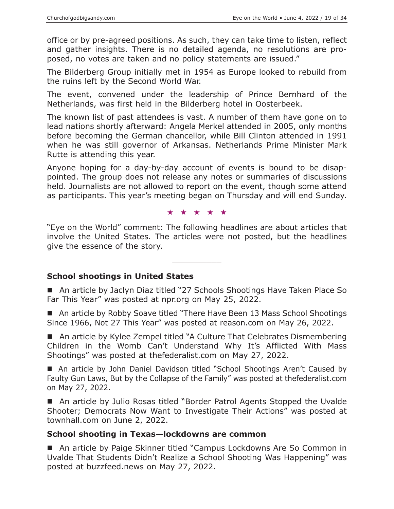office or by pre-agreed positions. As such, they can take time to listen, reflect and gather insights. There is no detailed agenda, no resolutions are proposed, no votes are taken and no policy statements are issued."

The Bilderberg Group initially met in 1954 as Europe looked to rebuild from the ruins left by the Second World War.

The event, convened under the leadership of Prince Bernhard of the Netherlands, was first held in the Bilderberg hotel in Oosterbeek.

The known list of past attendees is vast. A number of them have gone on to lead nations shortly afterward: Angela Merkel attended in 2005, only months before becoming the German chancellor, while Bill Clinton attended in 1991 when he was still governor of Arkansas. Netherlands Prime Minister Mark Rutte is attending this year.

Anyone hoping for a day-by-day account of events is bound to be disappointed. The group does not release any notes or summaries of discussions held. Journalists are not allowed to report on the event, though some attend as participants. This year's meeting began on Thursday and will end Sunday.

★★★★★

"Eye on the World" comment: The following headlines are about articles that involve the United States. The articles were not posted, but the headlines give the essence of the story.

 $\overline{\phantom{a}}$  , where  $\overline{\phantom{a}}$ 

#### **School shootings in United States**

■ An article by Jaclyn Diaz titled "27 Schools Shootings Have Taken Place So Far This Year" was posted at npr.org on May 25, 2022.

■ An article by Robby Soave titled "There Have Been 13 Mass School Shootings Since 1966, Not 27 This Year" was posted at reason.com on May 26, 2022.

■ An article by Kylee Zempel titled "A Culture That Celebrates Dismembering Children in the Womb Can't Understand Why It's Afflicted With Mass Shootings" was posted at thefederalist.com on May 27, 2022.

■ An article by John Daniel Davidson titled "School Shootings Aren't Caused by Faulty Gun Laws, But by the Collapse of the Family" was posted at thefederalist.com on May 27, 2022.

■ An article by Julio Rosas titled "Border Patrol Agents Stopped the Uvalde Shooter; Democrats Now Want to Investigate Their Actions" was posted at townhall.com on June 2, 2022.

#### **School shooting in Texas—lockdowns are common**

■ An article by Paige Skinner titled "Campus Lockdowns Are So Common in Uvalde That Students Didn't Realize a School Shooting Was Happening" was posted at buzzfeed.news on May 27, 2022.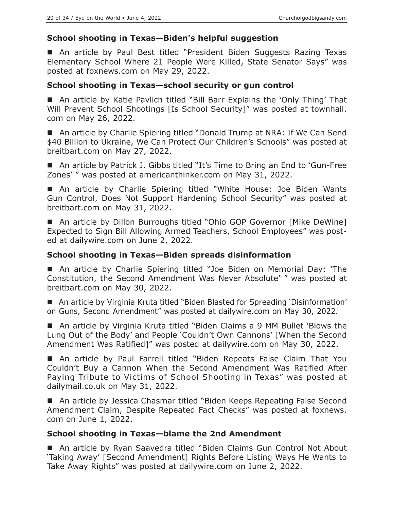# **School shooting in Texas—Biden's helpful suggestion**

■ An article by Paul Best titled "President Biden Suggests Razing Texas Elementary School Where 21 People Were Killed, State Senator Says" was posted at foxnews.com on May 29, 2022.

#### **School shooting in Texas—school security or gun control**

 An article by Katie Pavlich titled "Bill Barr Explains the 'Only Thing' That Will Prevent School Shootings [Is School Security]" was posted at townhall. com on May 26, 2022.

■ An article by Charlie Spiering titled "Donald Trump at NRA: If We Can Send \$40 Billion to Ukraine, We Can Protect Our Children's Schools" was posted at breitbart.com on May 27, 2022.

■ An article by Patrick J. Gibbs titled "It's Time to Bring an End to 'Gun-Free Zones' " was posted at americanthinker.com on May 31, 2022.

 An article by Charlie Spiering titled "White House: Joe Biden Wants Gun Control, Does Not Support Hardening School Security" was posted at breitbart.com on May 31, 2022.

■ An article by Dillon Burroughs titled "Ohio GOP Governor [Mike DeWine] Expected to Sign Bill Allowing Armed Teachers, School Employees" was posted at dailywire.com on June 2, 2022.

#### **School shooting in Texas—Biden spreads disinformation**

 An article by Charlie Spiering titled "Joe Biden on Memorial Day: 'The Constitution, the Second Amendment Was Never Absolute' " was posted at breitbart.com on May 30, 2022.

■ An article by Virginia Kruta titled "Biden Blasted for Spreading 'Disinformation' on Guns, Second Amendment" was posted at dailywire.com on May 30, 2022.

■ An article by Virginia Kruta titled "Biden Claims a 9 MM Bullet 'Blows the Lung Out of the Body' and People 'Couldn't Own Cannons' [When the Second Amendment Was Ratified]" was posted at dailywire.com on May 30, 2022.

 An article by Paul Farrell titled "Biden Repeats False Claim That You Couldn't Buy a Cannon When the Second Amendment Was Ratified After Paying Tribute to Victims of School Shooting in Texas" was posted at dailymail.co.uk on May 31, 2022.

■ An article by Jessica Chasmar titled "Biden Keeps Repeating False Second Amendment Claim, Despite Repeated Fact Checks" was posted at foxnews. com on June 1, 2022.

#### **School shooting in Texas—blame the 2nd Amendment**

■ An article by Ryan Saavedra titled "Biden Claims Gun Control Not About 'Taking Away' [Second Amendment] Rights Before Listing Ways He Wants to Take Away Rights" was posted at dailywire.com on June 2, 2022.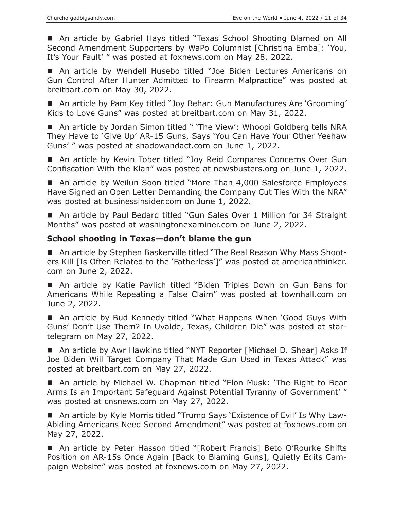An article by Gabriel Hays titled "Texas School Shooting Blamed on All Second Amendment Supporters by WaPo Columnist [Christina Emba]: 'You, It's Your Fault' " was posted at foxnews.com on May 28, 2022.

■ An article by Wendell Husebo titled "Joe Biden Lectures Americans on Gun Control After Hunter Admitted to Firearm Malpractice" was posted at breitbart.com on May 30, 2022.

■ An article by Pam Key titled "Joy Behar: Gun Manufactures Are 'Grooming' Kids to Love Guns" was posted at breitbart.com on May 31, 2022.

■ An article by Jordan Simon titled " 'The View': Whoopi Goldberg tells NRA They Have to 'Give Up' AR-15 Guns, Says 'You Can Have Your Other Yeehaw Guns' " was posted at shadowandact.com on June 1, 2022.

■ An article by Kevin Tober titled "Joy Reid Compares Concerns Over Gun Confiscation With the Klan" was posted at newsbusters.org on June 1, 2022.

■ An article by Weilun Soon titled "More Than 4,000 Salesforce Employees Have Signed an Open Letter Demanding the Company Cut Ties With the NRA" was posted at businessinsider.com on June 1, 2022.

■ An article by Paul Bedard titled "Gun Sales Over 1 Million for 34 Straight Months" was posted at washingtonexaminer.com on June 2, 2022.

# **School shooting in Texas—don't blame the gun**

■ An article by Stephen Baskerville titled "The Real Reason Why Mass Shooters Kill [Is Often Related to the 'Fatherless']" was posted at americanthinker. com on June 2, 2022.

 An article by Katie Pavlich titled "Biden Triples Down on Gun Bans for Americans While Repeating a False Claim" was posted at townhall.com on June 2, 2022.

■ An article by Bud Kennedy titled "What Happens When 'Good Guys With Guns' Don't Use Them? In Uvalde, Texas, Children Die" was posted at startelegram on May 27, 2022.

■ An article by Awr Hawkins titled "NYT Reporter [Michael D. Shear] Asks If Joe Biden Will Target Company That Made Gun Used in Texas Attack" was posted at breitbart.com on May 27, 2022.

■ An article by Michael W. Chapman titled "Elon Musk: 'The Right to Bear Arms Is an Important Safeguard Against Potential Tyranny of Government' " was posted at cnsnews.com on May 27, 2022.

■ An article by Kyle Morris titled "Trump Says 'Existence of Evil' Is Why Law-Abiding Americans Need Second Amendment" was posted at foxnews.com on May 27, 2022.

■ An article by Peter Hasson titled "[Robert Francis] Beto O'Rourke Shifts Position on AR-15s Once Again [Back to Blaming Guns], Quietly Edits Campaign Website" was posted at foxnews.com on May 27, 2022.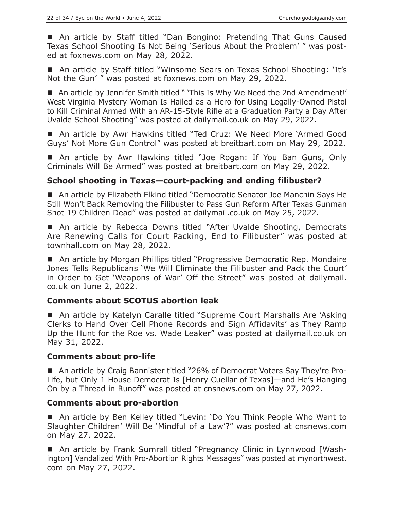■ An article by Staff titled "Dan Bongino: Pretending That Guns Caused Texas School Shooting Is Not Being 'Serious About the Problem' " was posted at foxnews.com on May 28, 2022.

■ An article by Staff titled "Winsome Sears on Texas School Shooting: 'It's Not the Gun' " was posted at foxnews.com on May 29, 2022.

■ An article by Jennifer Smith titled " 'This Is Why We Need the 2nd Amendment!' West Virginia Mystery Woman Is Hailed as a Hero for Using Legally-Owned Pistol to Kill Criminal Armed With an AR-15-Style Rifle at a Graduation Party a Day After Uvalde School Shooting" was posted at dailymail.co.uk on May 29, 2022.

■ An article by Awr Hawkins titled "Ted Cruz: We Need More 'Armed Good Guys' Not More Gun Control" was posted at breitbart.com on May 29, 2022.

 An article by Awr Hawkins titled "Joe Rogan: If You Ban Guns, Only Criminals Will Be Armed" was posted at breitbart.com on May 29, 2022.

# **School shooting in Texas—court-packing and ending filibuster?**

 An article by Elizabeth Elkind titled "Democratic Senator Joe Manchin Says He Still Won't Back Removing the Filibuster to Pass Gun Reform After Texas Gunman Shot 19 Children Dead" was posted at dailymail.co.uk on May 25, 2022.

■ An article by Rebecca Downs titled "After Uvalde Shooting, Democrats Are Renewing Calls for Court Packing, End to Filibuster" was posted at townhall.com on May 28, 2022.

■ An article by Morgan Phillips titled "Progressive Democratic Rep. Mondaire Jones Tells Republicans 'We Will Eliminate the Filibuster and Pack the Court' in Order to Get 'Weapons of War' Off the Street" was posted at dailymail. co.uk on June 2, 2022.

# **Comments about SCOTUS abortion leak**

■ An article by Katelyn Caralle titled "Supreme Court Marshalls Are 'Asking Clerks to Hand Over Cell Phone Records and Sign Affidavits' as They Ramp Up the Hunt for the Roe vs. Wade Leaker" was posted at dailymail.co.uk on May 31, 2022.

#### **Comments about pro-life**

■ An article by Craig Bannister titled "26% of Democrat Voters Say They're Pro-Life, but Only 1 House Democrat Is [Henry Cuellar of Texas]—and He's Hanging On by a Thread in Runoff" was posted at cnsnews.com on May 27, 2022.

#### **Comments about pro-abortion**

■ An article by Ben Kelley titled "Levin: 'Do You Think People Who Want to Slaughter Children' Will Be 'Mindful of a Law'?" was posted at cnsnews.com on May 27, 2022.

 An article by Frank Sumrall titled "Pregnancy Clinic in Lynnwood [Washington] Vandalized With Pro-Abortion Rights Messages" was posted at mynorthwest. com on May 27, 2022.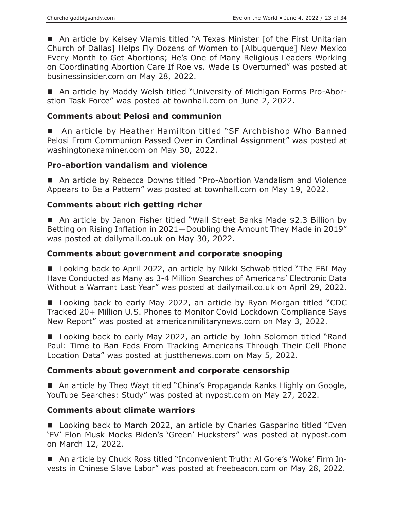■ An article by Kelsey Vlamis titled "A Texas Minister [of the First Unitarian Church of Dallas] Helps Fly Dozens of Women to [Albuquerque] New Mexico Every Month to Get Abortions; He's One of Many Religious Leaders Working on Coordinating Abortion Care If Roe vs. Wade Is Overturned" was posted at businessinsider.com on May 28, 2022.

■ An article by Maddy Welsh titled "University of Michigan Forms Pro-Aborstion Task Force" was posted at townhall.com on June 2, 2022.

#### **Comments about Pelosi and communion**

■ An article by Heather Hamilton titled "SF Archbishop Who Banned Pelosi From Communion Passed Over in Cardinal Assignment" was posted at washingtonexaminer.com on May 30, 2022.

#### **Pro-abortion vandalism and violence**

■ An article by Rebecca Downs titled "Pro-Abortion Vandalism and Violence Appears to Be a Pattern" was posted at townhall.com on May 19, 2022.

#### **Comments about rich getting richer**

■ An article by Janon Fisher titled "Wall Street Banks Made \$2.3 Billion by Betting on Rising Inflation in 2021—Doubling the Amount They Made in 2019" was posted at dailymail.co.uk on May 30, 2022.

#### **Comments about government and corporate snooping**

■ Looking back to April 2022, an article by Nikki Schwab titled "The FBI May Have Conducted as Many as 3-4 Million Searches of Americans' Electronic Data Without a Warrant Last Year" was posted at dailymail.co.uk on April 29, 2022.

■ Looking back to early May 2022, an article by Ryan Morgan titled "CDC Tracked 20+ Million U.S. Phones to Monitor Covid Lockdown Compliance Says New Report" was posted at americanmilitarynews.com on May 3, 2022.

■ Looking back to early May 2022, an article by John Solomon titled "Rand Paul: Time to Ban Feds From Tracking Americans Through Their Cell Phone Location Data" was posted at justthenews.com on May 5, 2022.

#### **Comments about government and corporate censorship**

■ An article by Theo Wayt titled "China's Propaganda Ranks Highly on Google, YouTube Searches: Study" was posted at nypost.com on May 27, 2022.

#### **Comments about climate warriors**

■ Looking back to March 2022, an article by Charles Gasparino titled "Even 'EV' Elon Musk Mocks Biden's 'Green' Hucksters" was posted at nypost.com on March 12, 2022.

■ An article by Chuck Ross titled "Inconvenient Truth: Al Gore's 'Woke' Firm Invests in Chinese Slave Labor" was posted at freebeacon.com on May 28, 2022.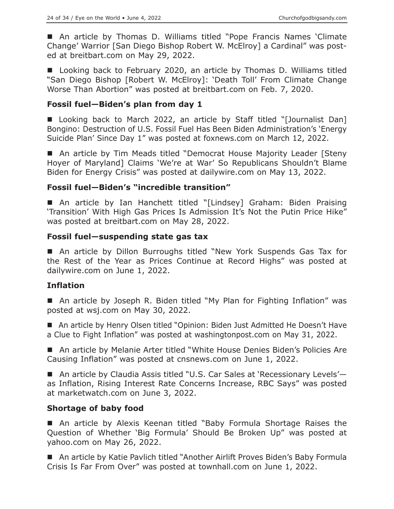An article by Thomas D. Williams titled "Pope Francis Names 'Climate Change' Warrior [San Diego Bishop Robert W. McElroy] a Cardinal" was posted at breitbart.com on May 29, 2022.

■ Looking back to February 2020, an article by Thomas D. Williams titled "San Diego Bishop [Robert W. McElroy]: 'Death Toll' From Climate Change Worse Than Abortion" was posted at breitbart.com on Feb. 7, 2020.

#### **Fossil fuel—Biden's plan from day 1**

■ Looking back to March 2022, an article by Staff titled "[Journalist Dan] Bongino: Destruction of U.S. Fossil Fuel Has Been Biden Administration's 'Energy Suicide Plan' Since Day 1" was posted at foxnews.com on March 12, 2022.

■ An article by Tim Meads titled "Democrat House Majority Leader [Steny Hoyer of Maryland] Claims 'We're at War' So Republicans Shouldn't Blame Biden for Energy Crisis" was posted at dailywire.com on May 13, 2022.

# **Fossil fuel—Biden's "incredible transition"**

 An article by Ian Hanchett titled "[Lindsey] Graham: Biden Praising 'Transition' With High Gas Prices Is Admission It's Not the Putin Price Hike" was posted at breitbart.com on May 28, 2022.

#### **Fossil fuel—suspending state gas tax**

 An article by Dillon Burroughs titled "New York Suspends Gas Tax for the Rest of the Year as Prices Continue at Record Highs" was posted at dailywire.com on June 1, 2022.

#### **Inflation**

■ An article by Joseph R. Biden titled "My Plan for Fighting Inflation" was posted at wsj.com on May 30, 2022.

■ An article by Henry Olsen titled "Opinion: Biden Just Admitted He Doesn't Have a Clue to Fight Inflation" was posted at washingtonpost.com on May 31, 2022.

■ An article by Melanie Arter titled "White House Denies Biden's Policies Are Causing Inflation" was posted at cnsnews.com on June 1, 2022.

■ An article by Claudia Assis titled "U.S. Car Sales at 'Recessionary Levels'as Inflation, Rising Interest Rate Concerns Increase, RBC Says" was posted at marketwatch.com on June 3, 2022.

#### **Shortage of baby food**

 An article by Alexis Keenan titled "Baby Formula Shortage Raises the Question of Whether 'Big Formula' Should Be Broken Up" was posted at yahoo.com on May 26, 2022.

■ An article by Katie Pavlich titled "Another Airlift Proves Biden's Baby Formula Crisis Is Far From Over" was posted at townhall.com on June 1, 2022.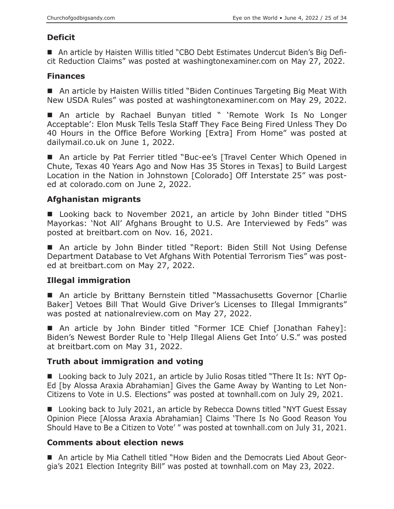# **Deficit**

 An article by Haisten Willis titled "CBO Debt Estimates Undercut Biden's Big Deficit Reduction Claims" was posted at washingtonexaminer.com on May 27, 2022.

#### **Finances**

■ An article by Haisten Willis titled "Biden Continues Targeting Big Meat With New USDA Rules" was posted at washingtonexaminer.com on May 29, 2022.

 An article by Rachael Bunyan titled " 'Remote Work Is No Longer Acceptable': Elon Musk Tells Tesla Staff They Face Being Fired Unless They Do 40 Hours in the Office Before Working [Extra] From Home" was posted at dailymail.co.uk on June 1, 2022.

■ An article by Pat Ferrier titled "Buc-ee's [Travel Center Which Opened in Chute, Texas 40 Years Ago and Now Has 35 Stores in Texas] to Build Largest Location in the Nation in Johnstown [Colorado] Off Interstate 25" was posted at colorado.com on June 2, 2022.

# **Afghanistan migrants**

■ Looking back to November 2021, an article by John Binder titled "DHS Mayorkas: 'Not All' Afghans Brought to U.S. Are Interviewed by Feds" was posted at breitbart.com on Nov. 16, 2021.

■ An article by John Binder titled "Report: Biden Still Not Using Defense Department Database to Vet Afghans With Potential Terrorism Ties" was posted at breitbart.com on May 27, 2022.

# **Illegal immigration**

■ An article by Brittany Bernstein titled "Massachusetts Governor [Charlie Baker] Vetoes Bill That Would Give Driver's Licenses to Illegal Immigrants" was posted at nationalreview.com on May 27, 2022.

 An article by John Binder titled "Former ICE Chief [Jonathan Fahey]: Biden's Newest Border Rule to 'Help Illegal Aliens Get Into' U.S." was posted at breitbart.com on May 31, 2022.

# **Truth about immigration and voting**

■ Looking back to July 2021, an article by Julio Rosas titled "There It Is: NYT Op-Ed [by Alossa Araxia Abrahamian] Gives the Game Away by Wanting to Let Non-Citizens to Vote in U.S. Elections" was posted at townhall.com on July 29, 2021.

■ Looking back to July 2021, an article by Rebecca Downs titled "NYT Guest Essay Opinion Piece [Alossa Araxia Abrahamian] Claims 'There Is No Good Reason You Should Have to Be a Citizen to Vote' " was posted at townhall.com on July 31, 2021.

# **Comments about election news**

 An article by Mia Cathell titled "How Biden and the Democrats Lied About Georgia's 2021 Election Integrity Bill" was posted at townhall.com on May 23, 2022.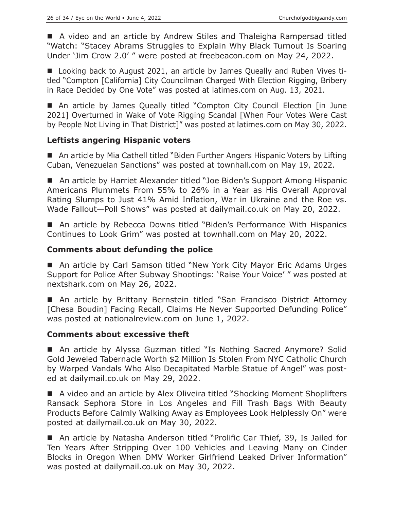■ A video and an article by Andrew Stiles and Thaleigha Rampersad titled "Watch: "Stacey Abrams Struggles to Explain Why Black Turnout Is Soaring Under 'Jim Crow 2.0' " were posted at freebeacon.com on May 24, 2022.

■ Looking back to August 2021, an article by James Queally and Ruben Vives titled "Compton [California] City Councilman Charged With Election Rigging, Bribery in Race Decided by One Vote" was posted at latimes.com on Aug. 13, 2021.

 An article by James Queally titled "Compton City Council Election [in June 2021] Overturned in Wake of Vote Rigging Scandal [When Four Votes Were Cast by People Not Living in That District]" was posted at latimes.com on May 30, 2022.

# **Leftists angering Hispanic voters**

■ An article by Mia Cathell titled "Biden Further Angers Hispanic Voters by Lifting Cuban, Venezuelan Sanctions" was posted at townhall.com on May 19, 2022.

■ An article by Harriet Alexander titled "Joe Biden's Support Among Hispanic Americans Plummets From 55% to 26% in a Year as His Overall Approval Rating Slumps to Just 41% Amid Inflation, War in Ukraine and the Roe vs. Wade Fallout—Poll Shows" was posted at dailymail.co.uk on May 20, 2022.

■ An article by Rebecca Downs titled "Biden's Performance With Hispanics Continues to Look Grim" was posted at townhall.com on May 20, 2022.

# **Comments about defunding the police**

■ An article by Carl Samson titled "New York City Mayor Eric Adams Urges Support for Police After Subway Shootings: 'Raise Your Voice' " was posted at nextshark.com on May 26, 2022.

■ An article by Brittany Bernstein titled "San Francisco District Attorney [Chesa Boudin] Facing Recall, Claims He Never Supported Defunding Police" was posted at nationalreview.com on June 1, 2022.

#### **Comments about excessive theft**

■ An article by Alyssa Guzman titled "Is Nothing Sacred Anymore? Solid Gold Jeweled Tabernacle Worth \$2 Million Is Stolen From NYC Catholic Church by Warped Vandals Who Also Decapitated Marble Statue of Angel" was posted at dailymail.co.uk on May 29, 2022.

■ A video and an article by Alex Oliveira titled "Shocking Moment Shoplifters Ransack Sephora Store in Los Angeles and Fill Trash Bags With Beauty Products Before Calmly Walking Away as Employees Look Helplessly On" were posted at dailymail.co.uk on May 30, 2022.

■ An article by Natasha Anderson titled "Prolific Car Thief, 39, Is Jailed for Ten Years After Stripping Over 100 Vehicles and Leaving Many on Cinder Blocks in Oregon When DMV Worker Girlfriend Leaked Driver Information" was posted at dailymail.co.uk on May 30, 2022.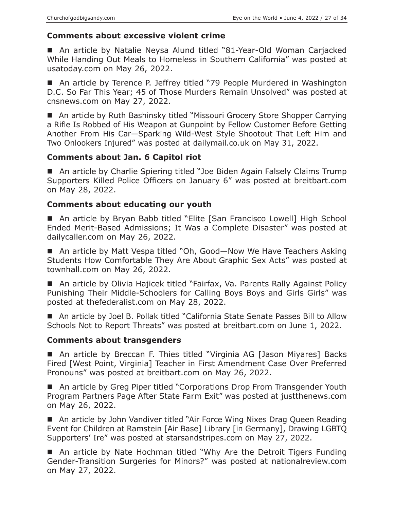# **Comments about excessive violent crime**

■ An article by Natalie Neysa Alund titled "81-Year-Old Woman Carjacked While Handing Out Meals to Homeless in Southern California" was posted at usatoday.com on May 26, 2022.

■ An article by Terence P. Jeffrey titled "79 People Murdered in Washington D.C. So Far This Year; 45 of Those Murders Remain Unsolved" was posted at cnsnews.com on May 27, 2022.

■ An article by Ruth Bashinsky titled "Missouri Grocery Store Shopper Carrying a Rifle Is Robbed of His Weapon at Gunpoint by Fellow Customer Before Getting Another From His Car—Sparking Wild-West Style Shootout That Left Him and Two Onlookers Injured" was posted at dailymail.co.uk on May 31, 2022.

# **Comments about Jan. 6 Capitol riot**

■ An article by Charlie Spiering titled "Joe Biden Again Falsely Claims Trump Supporters Killed Police Officers on January 6" was posted at breitbart.com on May 28, 2022.

# **Comments about educating our youth**

■ An article by Bryan Babb titled "Elite [San Francisco Lowell] High School Ended Merit-Based Admissions; It Was a Complete Disaster" was posted at dailycaller.com on May 26, 2022.

■ An article by Matt Vespa titled "Oh, Good—Now We Have Teachers Asking Students How Comfortable They Are About Graphic Sex Acts" was posted at townhall.com on May 26, 2022.

■ An article by Olivia Hajicek titled "Fairfax, Va. Parents Rally Against Policy Punishing Their Middle-Schoolers for Calling Boys Boys and Girls Girls" was posted at thefederalist.com on May 28, 2022.

■ An article by Joel B. Pollak titled "California State Senate Passes Bill to Allow Schools Not to Report Threats" was posted at breitbart.com on June 1, 2022.

#### **Comments about transgenders**

■ An article by Breccan F. Thies titled "Virginia AG [Jason Miyares] Backs Fired [West Point, Virginia] Teacher in First Amendment Case Over Preferred Pronouns" was posted at breitbart.com on May 26, 2022.

■ An article by Greg Piper titled "Corporations Drop From Transgender Youth Program Partners Page After State Farm Exit" was posted at justthenews.com on May 26, 2022.

 An article by John Vandiver titled "Air Force Wing Nixes Drag Queen Reading Event for Children at Ramstein [Air Base] Library [in Germany], Drawing LGBTQ Supporters' Ire" was posted at starsandstripes.com on May 27, 2022.

■ An article by Nate Hochman titled "Why Are the Detroit Tigers Funding Gender-Transition Surgeries for Minors?" was posted at nationalreview.com on May 27, 2022.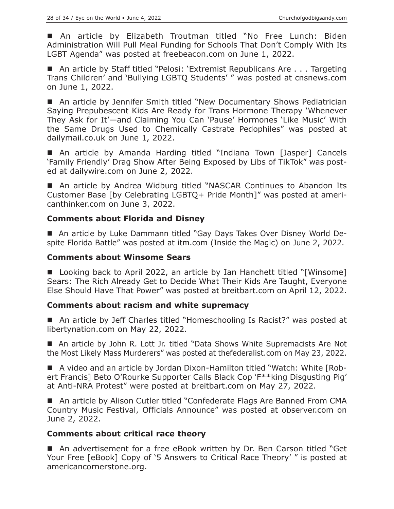An article by Elizabeth Troutman titled "No Free Lunch: Biden Administration Will Pull Meal Funding for Schools That Don't Comply With Its LGBT Agenda" was posted at freebeacon.com on June 1, 2022.

■ An article by Staff titled "Pelosi: 'Extremist Republicans Are . . . Targeting Trans Children' and 'Bullying LGBTQ Students' " was posted at cnsnews.com on June 1, 2022.

■ An article by Jennifer Smith titled "New Documentary Shows Pediatrician Saying Prepubescent Kids Are Ready for Trans Hormone Therapy 'Whenever They Ask for It'—and Claiming You Can 'Pause' Hormones 'Like Music' With the Same Drugs Used to Chemically Castrate Pedophiles" was posted at dailymail.co.uk on June 1, 2022.

 An article by Amanda Harding titled "Indiana Town [Jasper] Cancels 'Family Friendly' Drag Show After Being Exposed by Libs of TikTok" was posted at dailywire.com on June 2, 2022.

■ An article by Andrea Widburg titled "NASCAR Continues to Abandon Its Customer Base [by Celebrating LGBTQ+ Pride Month]" was posted at americanthinker.com on June 3, 2022.

# **Comments about Florida and Disney**

 An article by Luke Dammann titled "Gay Days Takes Over Disney World Despite Florida Battle" was posted at itm.com (Inside the Magic) on June 2, 2022.

#### **Comments about Winsome Sears**

■ Looking back to April 2022, an article by Ian Hanchett titled "[Winsome] Sears: The Rich Already Get to Decide What Their Kids Are Taught, Everyone Else Should Have That Power" was posted at breitbart.com on April 12, 2022.

#### **Comments about racism and white supremacy**

■ An article by Jeff Charles titled "Homeschooling Is Racist?" was posted at libertynation.com on May 22, 2022.

■ An article by John R. Lott Jr. titled "Data Shows White Supremacists Are Not the Most Likely Mass Murderers" was posted at thefederalist.com on May 23, 2022.

 A video and an article by Jordan Dixon-Hamilton titled "Watch: White [Robert Francis] Beto O'Rourke Supporter Calls Black Cop 'F\*\*king Disgusting Pig' at Anti-NRA Protest" were posted at breitbart.com on May 27, 2022.

■ An article by Alison Cutler titled "Confederate Flags Are Banned From CMA Country Music Festival, Officials Announce" was posted at observer.com on June 2, 2022.

#### **Comments about critical race theory**

■ An advertisement for a free eBook written by Dr. Ben Carson titled "Get Your Free [eBook] Copy of '5 Answers to Critical Race Theory' " is posted at americancornerstone.org.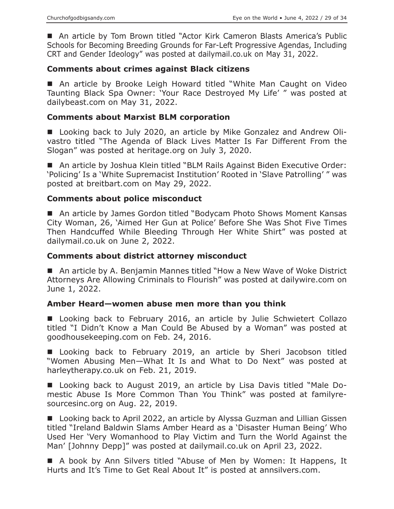An article by Tom Brown titled "Actor Kirk Cameron Blasts America's Public Schools for Becoming Breeding Grounds for Far-Left Progressive Agendas, Including CRT and Gender Ideology" was posted at dailymail.co.uk on May 31, 2022.

#### **Comments about crimes against Black citizens**

■ An article by Brooke Leigh Howard titled "White Man Caught on Video Taunting Black Spa Owner: 'Your Race Destroyed My Life' " was posted at dailybeast.com on May 31, 2022.

#### **Comments about Marxist BLM corporation**

■ Looking back to July 2020, an article by Mike Gonzalez and Andrew Olivastro titled "The Agenda of Black Lives Matter Is Far Different From the Slogan" was posted at heritage.org on July 3, 2020.

■ An article by Joshua Klein titled "BLM Rails Against Biden Executive Order: 'Policing' Is a 'White Supremacist Institution' Rooted in 'Slave Patrolling' " was posted at breitbart.com on May 29, 2022.

#### **Comments about police misconduct**

■ An article by James Gordon titled "Bodycam Photo Shows Moment Kansas City Woman, 26, 'Aimed Her Gun at Police' Before She Was Shot Five Times Then Handcuffed While Bleeding Through Her White Shirt" was posted at dailymail.co.uk on June 2, 2022.

#### **Comments about district attorney misconduct**

■ An article by A. Benjamin Mannes titled "How a New Wave of Woke District Attorneys Are Allowing Criminals to Flourish" was posted at dailywire.com on June 1, 2022.

#### **Amber Heard—women abuse men more than you think**

■ Looking back to February 2016, an article by Julie Schwietert Collazo titled "I Didn't Know a Man Could Be Abused by a Woman" was posted at goodhousekeeping.com on Feb. 24, 2016.

**Looking back to February 2019, an article by Sheri Jacobson titled** "Women Abusing Men—What It Is and What to Do Next" was posted at harleytherapy.co.uk on Feb. 21, 2019.

■ Looking back to August 2019, an article by Lisa Davis titled "Male Domestic Abuse Is More Common Than You Think" was posted at familyresourcesinc.org on Aug. 22, 2019.

■ Looking back to April 2022, an article by Alyssa Guzman and Lillian Gissen titled "Ireland Baldwin Slams Amber Heard as a 'Disaster Human Being' Who Used Her 'Very Womanhood to Play Victim and Turn the World Against the Man' [Johnny Depp]" was posted at dailymail.co.uk on April 23, 2022.

 A book by Ann Silvers titled "Abuse of Men by Women: It Happens, It Hurts and It's Time to Get Real About It" is posted at annsilvers.com.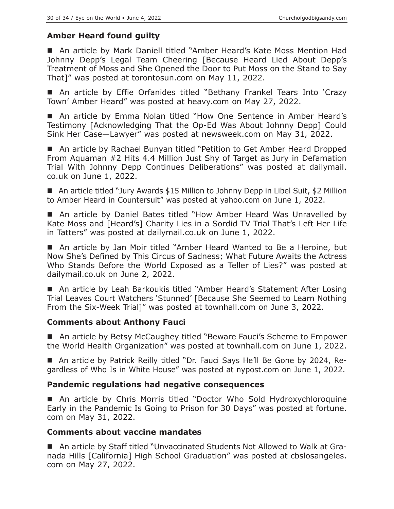# **Amber Heard found guilty**

■ An article by Mark Daniell titled "Amber Heard's Kate Moss Mention Had Johnny Depp's Legal Team Cheering [Because Heard Lied About Depp's Treatment of Moss and She Opened the Door to Put Moss on the Stand to Say That]" was posted at torontosun.com on May 11, 2022.

 An article by Effie Orfanides titled "Bethany Frankel Tears Into 'Crazy Town' Amber Heard" was posted at heavy.com on May 27, 2022.

■ An article by Emma Nolan titled "How One Sentence in Amber Heard's Testimony [Acknowledging That the Op-Ed Was About Johnny Depp] Could Sink Her Case—Lawyer" was posted at newsweek.com on May 31, 2022.

■ An article by Rachael Bunyan titled "Petition to Get Amber Heard Dropped From Aquaman #2 Hits 4.4 Million Just Shy of Target as Jury in Defamation Trial With Johnny Depp Continues Deliberations" was posted at dailymail. co.uk on June 1, 2022.

■ An article titled "Jury Awards \$15 Million to Johnny Depp in Libel Suit, \$2 Million to Amber Heard in Countersuit" was posted at yahoo.com on June 1, 2022.

■ An article by Daniel Bates titled "How Amber Heard Was Unravelled by Kate Moss and [Heard's] Charity Lies in a Sordid TV Trial That's Left Her Life in Tatters" was posted at dailymail.co.uk on June 1, 2022.

■ An article by Jan Moir titled "Amber Heard Wanted to Be a Heroine, but Now She's Defined by This Circus of Sadness; What Future Awaits the Actress Who Stands Before the World Exposed as a Teller of Lies?" was posted at dailymail.co.uk on June 2, 2022.

■ An article by Leah Barkoukis titled "Amber Heard's Statement After Losing Trial Leaves Court Watchers 'Stunned' [Because She Seemed to Learn Nothing From the Six-Week Trial]" was posted at townhall.com on June 3, 2022.

#### **Comments about Anthony Fauci**

■ An article by Betsy McCaughey titled "Beware Fauci's Scheme to Empower the World Health Organization" was posted at townhall.com on June 1, 2022.

 An article by Patrick Reilly titled "Dr. Fauci Says He'll Be Gone by 2024, Regardless of Who Is in White House" was posted at nypost.com on June 1, 2022.

# **Pandemic regulations had negative consequences**

■ An article by Chris Morris titled "Doctor Who Sold Hydroxychloroquine Early in the Pandemic Is Going to Prison for 30 Days" was posted at fortune. com on May 31, 2022.

#### **Comments about vaccine mandates**

 An article by Staff titled "Unvaccinated Students Not Allowed to Walk at Granada Hills [California] High School Graduation" was posted at cbslosangeles. com on May 27, 2022.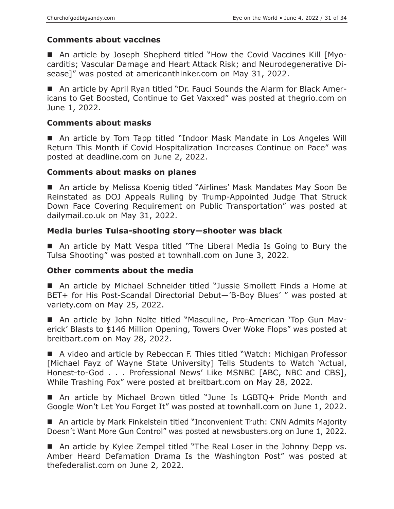# **Comments about vaccines**

 An article by Joseph Shepherd titled "How the Covid Vaccines Kill [Myocarditis; Vascular Damage and Heart Attack Risk; and Neurodegenerative Disease]" was posted at americanthinker.com on May 31, 2022.

 An article by April Ryan titled "Dr. Fauci Sounds the Alarm for Black Americans to Get Boosted, Continue to Get Vaxxed" was posted at thegrio.com on June 1, 2022.

#### **Comments about masks**

■ An article by Tom Tapp titled "Indoor Mask Mandate in Los Angeles Will Return This Month if Covid Hospitalization Increases Continue on Pace" was posted at deadline.com on June 2, 2022.

#### **Comments about masks on planes**

 An article by Melissa Koenig titled "Airlines' Mask Mandates May Soon Be Reinstated as DOJ Appeals Ruling by Trump-Appointed Judge That Struck Down Face Covering Requirement on Public Transportation" was posted at dailymail.co.uk on May 31, 2022.

#### **Media buries Tulsa-shooting story—shooter was black**

■ An article by Matt Vespa titled "The Liberal Media Is Going to Bury the Tulsa Shooting" was posted at townhall.com on June 3, 2022.

#### **Other comments about the media**

 An article by Michael Schneider titled "Jussie Smollett Finds a Home at BET+ for His Post-Scandal Directorial Debut—'B-Boy Blues' " was posted at variety.com on May 25, 2022.

 An article by John Nolte titled "Masculine, Pro-American 'Top Gun Maverick' Blasts to \$146 Million Opening, Towers Over Woke Flops" was posted at breitbart.com on May 28, 2022.

■ A video and article by Rebeccan F. Thies titled "Watch: Michigan Professor [Michael Fayz of Wayne State University] Tells Students to Watch 'Actual, Honest-to-God . . . Professional News' Like MSNBC [ABC, NBC and CBS], While Trashing Fox" were posted at breitbart.com on May 28, 2022.

■ An article by Michael Brown titled "June Is LGBTQ+ Pride Month and Google Won't Let You Forget It" was posted at townhall.com on June 1, 2022.

■ An article by Mark Finkelstein titled "Inconvenient Truth: CNN Admits Majority Doesn't Want More Gun Control" was posted at newsbusters.org on June 1, 2022.

■ An article by Kylee Zempel titled "The Real Loser in the Johnny Depp vs. Amber Heard Defamation Drama Is the Washington Post" was posted at thefederalist.com on June 2, 2022.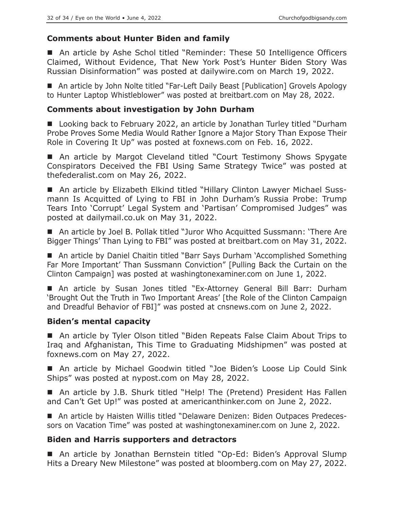# **Comments about Hunter Biden and family**

■ An article by Ashe Schol titled "Reminder: These 50 Intelligence Officers Claimed, Without Evidence, That New York Post's Hunter Biden Story Was Russian Disinformation" was posted at dailywire.com on March 19, 2022.

■ An article by John Nolte titled "Far-Left Daily Beast [Publication] Grovels Apology to Hunter Laptop Whistleblower" was posted at breitbart.com on May 28, 2022.

#### **Comments about investigation by John Durham**

■ Looking back to February 2022, an article by Jonathan Turley titled "Durham Probe Proves Some Media Would Rather Ignore a Major Story Than Expose Their Role in Covering It Up" was posted at foxnews.com on Feb. 16, 2022.

■ An article by Margot Cleveland titled "Court Testimony Shows Spygate Conspirators Deceived the FBI Using Same Strategy Twice" was posted at thefederalist.com on May 26, 2022.

■ An article by Elizabeth Elkind titled "Hillary Clinton Lawyer Michael Sussmann Is Acquitted of Lying to FBI in John Durham's Russia Probe: Trump Tears Into 'Corrupt' Legal System and 'Partisan' Compromised Judges" was posted at dailymail.co.uk on May 31, 2022.

■ An article by Joel B. Pollak titled "Juror Who Acquitted Sussmann: 'There Are Bigger Things' Than Lying to FBI" was posted at breitbart.com on May 31, 2022.

■ An article by Daniel Chaitin titled "Barr Says Durham 'Accomplished Something Far More Important' Than Sussmann Conviction" [Pulling Back the Curtain on the Clinton Campaign] was posted at washingtonexaminer.com on June 1, 2022.

 An article by Susan Jones titled "Ex-Attorney General Bill Barr: Durham 'Brought Out the Truth in Two Important Areas' [the Role of the Clinton Campaign and Dreadful Behavior of FBI]" was posted at cnsnews.com on June 2, 2022.

#### **Biden's mental capacity**

■ An article by Tyler Olson titled "Biden Repeats False Claim About Trips to Iraq and Afghanistan, This Time to Graduating Midshipmen" was posted at foxnews.com on May 27, 2022.

■ An article by Michael Goodwin titled "Joe Biden's Loose Lip Could Sink Ships" was posted at nypost.com on May 28, 2022.

■ An article by J.B. Shurk titled "Help! The (Pretend) President Has Fallen and Can't Get Up!" was posted at americanthinker.com on June 2, 2022.

 An article by Haisten Willis titled "Delaware Denizen: Biden Outpaces Predecessors on Vacation Time" was posted at washingtonexaminer.com on June 2, 2022.

# **Biden and Harris supporters and detractors**

 An article by Jonathan Bernstein titled "Op-Ed: Biden's Approval Slump Hits a Dreary New Milestone" was posted at bloomberg.com on May 27, 2022.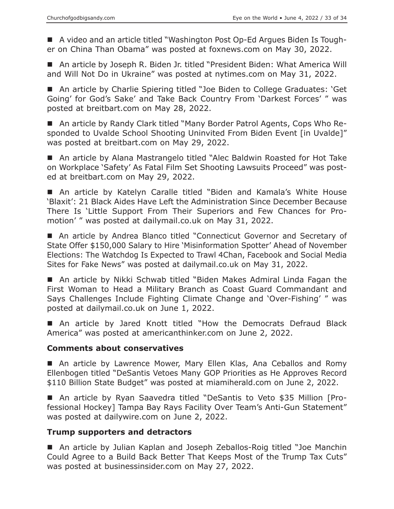A video and an article titled "Washington Post Op-Ed Argues Biden Is Tougher on China Than Obama" was posted at foxnews.com on May 30, 2022.

■ An article by Joseph R. Biden Jr. titled "President Biden: What America Will and Will Not Do in Ukraine" was posted at nytimes.com on May 31, 2022.

■ An article by Charlie Spiering titled "Joe Biden to College Graduates: 'Get Going' for God's Sake' and Take Back Country From 'Darkest Forces' " was posted at breitbart.com on May 28, 2022.

■ An article by Randy Clark titled "Many Border Patrol Agents, Cops Who Responded to Uvalde School Shooting Uninvited From Biden Event [in Uvalde]" was posted at breitbart.com on May 29, 2022.

 An article by Alana Mastrangelo titled "Alec Baldwin Roasted for Hot Take on Workplace 'Safety' As Fatal Film Set Shooting Lawsuits Proceed" was posted at breitbart.com on May 29, 2022.

 An article by Katelyn Caralle titled "Biden and Kamala's White House 'Blaxit': 21 Black Aides Have Left the Administration Since December Because There Is 'Little Support From Their Superiors and Few Chances for Promotion' " was posted at dailymail.co.uk on May 31, 2022.

■ An article by Andrea Blanco titled "Connecticut Governor and Secretary of State Offer \$150,000 Salary to Hire 'Misinformation Spotter' Ahead of November Elections: The Watchdog Is Expected to Trawl 4Chan, Facebook and Social Media Sites for Fake News" was posted at dailymail.co.uk on May 31, 2022.

 An article by Nikki Schwab titled "Biden Makes Admiral Linda Fagan the First Woman to Head a Military Branch as Coast Guard Commandant and Says Challenges Include Fighting Climate Change and 'Over-Fishing' " was posted at dailymail.co.uk on June 1, 2022.

 An article by Jared Knott titled "How the Democrats Defraud Black America" was posted at americanthinker.com on June 2, 2022.

#### **Comments about conservatives**

 An article by Lawrence Mower, Mary Ellen Klas, Ana Ceballos and Romy Ellenbogen titled "DeSantis Vetoes Many GOP Priorities as He Approves Record \$110 Billion State Budget" was posted at miamiherald.com on June 2, 2022.

 An article by Ryan Saavedra titled "DeSantis to Veto \$35 Million [Professional Hockey] Tampa Bay Rays Facility Over Team's Anti-Gun Statement" was posted at dailywire.com on June 2, 2022.

#### **Trump supporters and detractors**

■ An article by Julian Kaplan and Joseph Zeballos-Roig titled "Joe Manchin Could Agree to a Build Back Better That Keeps Most of the Trump Tax Cuts" was posted at businessinsider.com on May 27, 2022.